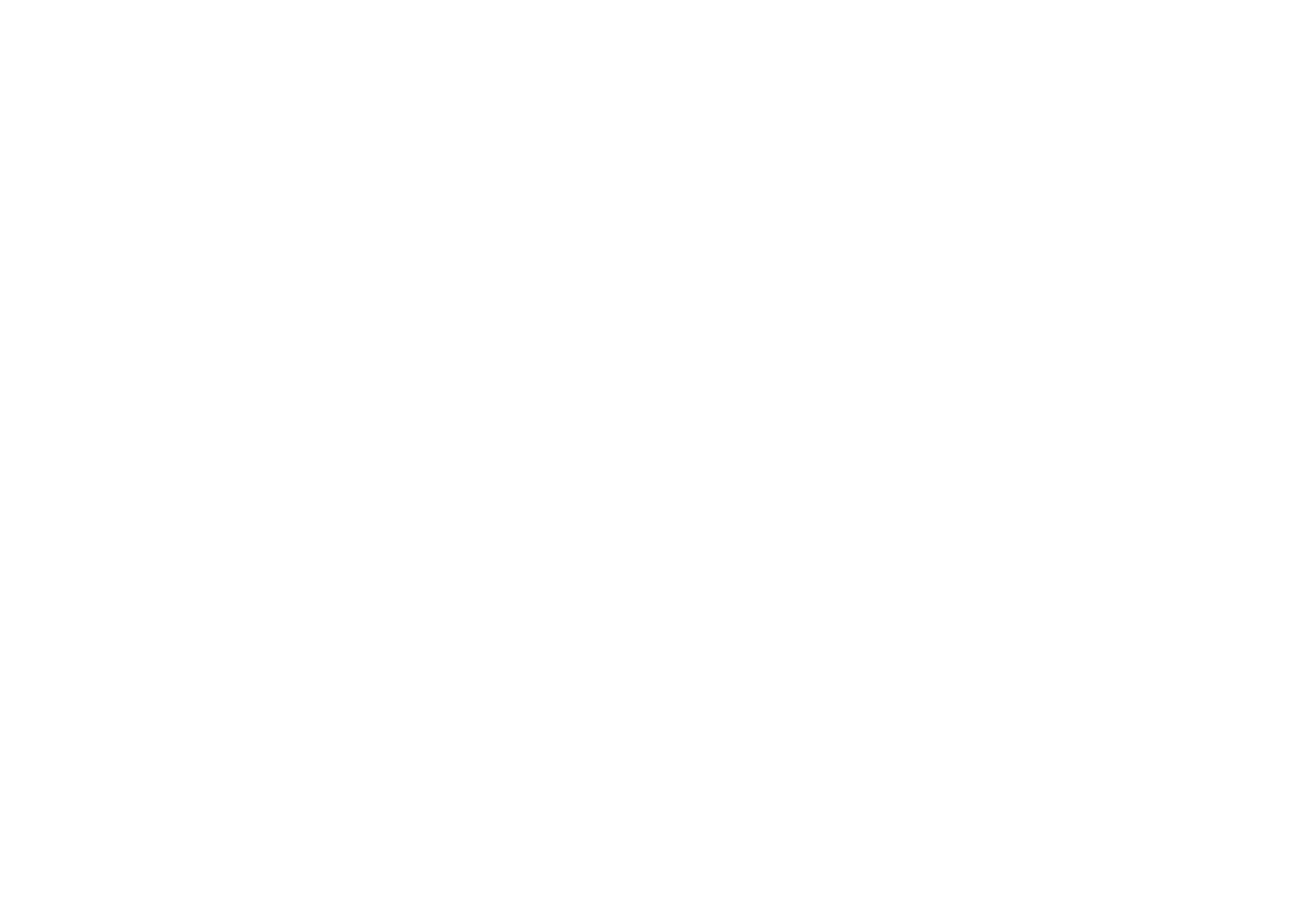

# **Special Council Meeting**

**AGENDA**

**4 August 2020 5.30pm**



Notice is hereby given that an Special Council Meeting of the City of Perth will be held in the Council Chamber, Level 9, 27 St Georges Terrace, Perth on Tuesday, 4 August 2020 at 5.30pm.

**Mr Murray Jorgensen** | Chief Executive Officer | 31 July 2020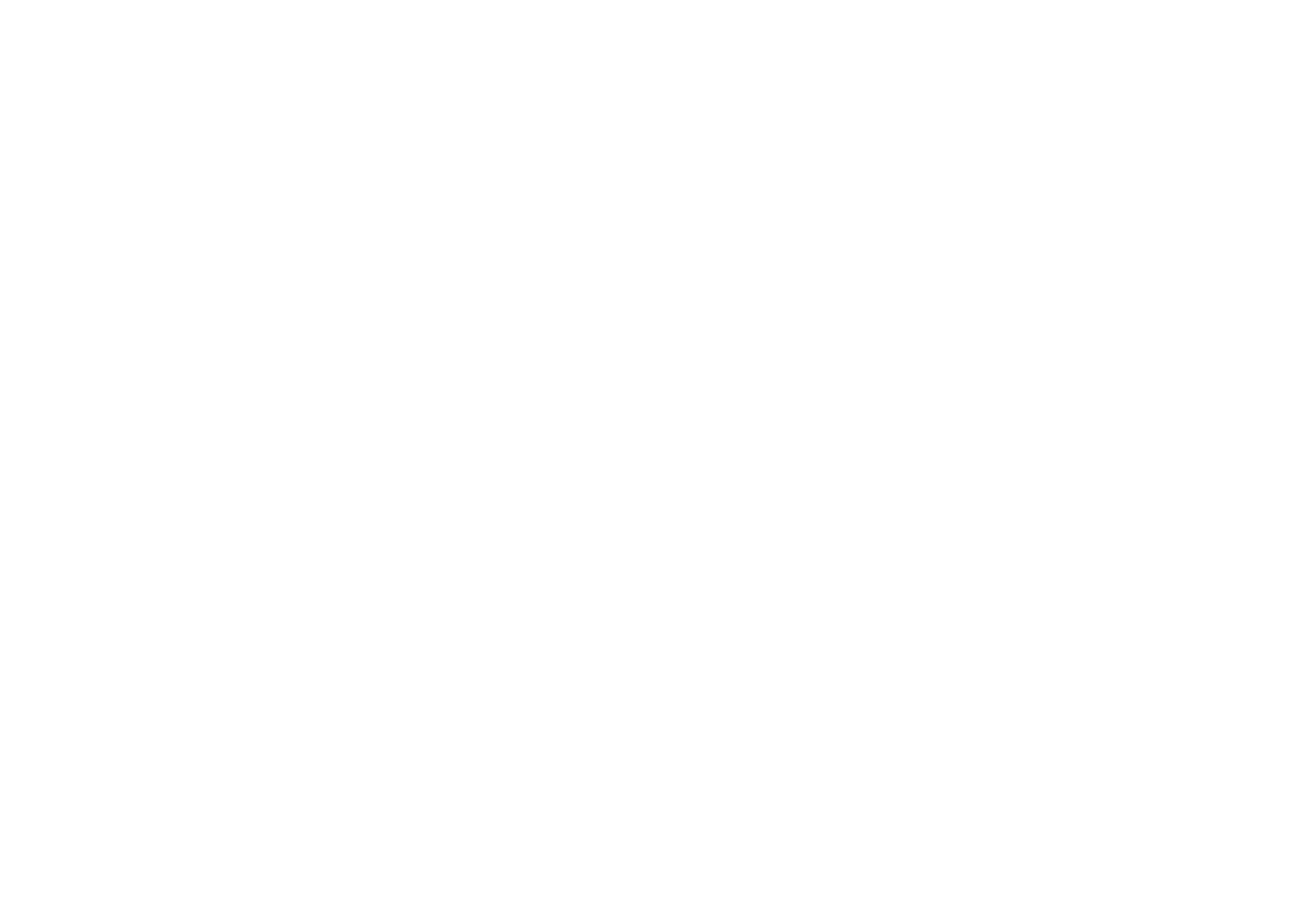## **INFORMATION FOR THE PUBLIC PARTICIPATING IN COUNCIL MEETINGS**

Welcome to this evening's Council meeting. This information is provided on matters which may affect members of the public. If you have any queries on procedural matters, please contact a member of the City's Governance team vi[a governance@cityofperth.wa.gov.au.](mailto:governance@cityofperth.wa.gov.au)

## **Question Time for the Public**

- An opportunity is available at Council meetings for members of the public to ask a question about any issue relating to the City. This time is available only for asking questions and not for making statements. Complex questions requiring research should be submitted as early as possible in order to allow the City sufficient time to prepare a response.
- The Presiding Person may nominate a member of staff to answer the question and may also determine that any complex question requiring research be answered in writing. No debate or discussion is allowed to take place on any question or answer.
- To ask a question, please complete the Public Question Time form available on the City's website <https://www.perth.wa.gov.au/council/council-meetings>. Questions should be forwarded to the City of Perth prior to the meeting via [governance@cityofperth.wa.gov.au](mailto:governance@cityofperth.wa.gov.au)

## **Deputations**

• To submit a deputation request, please complete the Deputation Request form available on the City's website [https://www.perth.wa.gov.au/council/council-meetings.](https://www.perth.wa.gov.au/council/council-meetings) Deputation requests should be forwarded to the City of Perth by midday on the day of the meeting via [governance@cityofperth.wa.gov.au](mailto:governance@cityofperth.wa.gov.au) 

## **Disclaimer**

Members of the public should note that in any discussion regarding any planning or other application that any statement or intimation of approval made by any Commissioner or officer of the City during the course of any meeting is not intended to be and is not to be taken as notice of approval from the City. No action should be taken on any item discussed at a Council meeting prior to written advice on the resolution of the Council being received.

Any plans or documents contained in this agenda may be subject to copyright law provisions *(Copyright Act 1968, as amended)* and the express permission of the copyright owner(s) should be sought prior to their reproduction.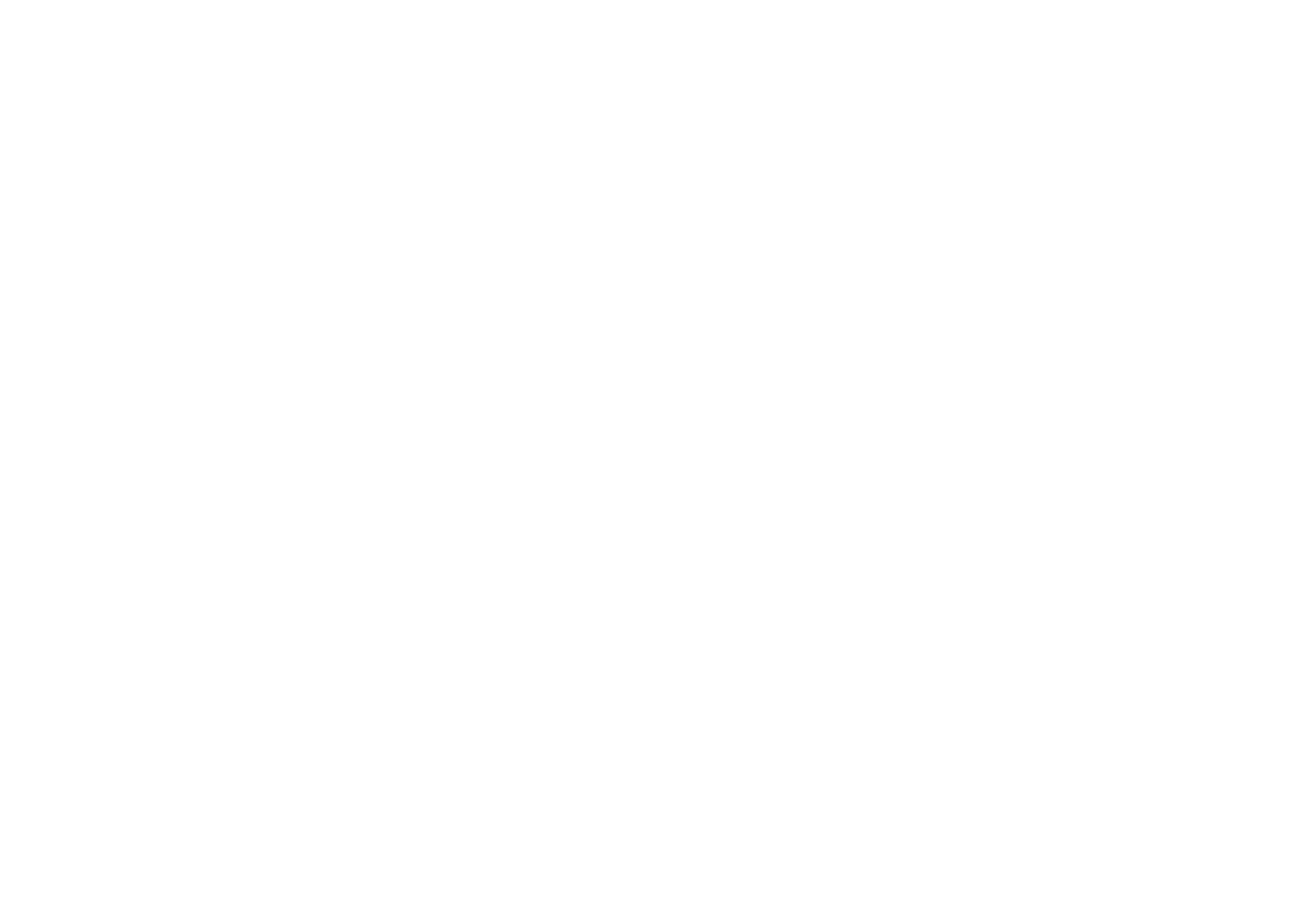## **Order of Business**

## **Item**

- **1. Prayer/Acknowledgement of Country**
- **2. Declaration of opening**
- **3. Apologies**
- **4. Question time for the public and notification of deputations**
- **5. Disclosures of members interest**
- **6. Matters for which the meeting may be closed**

| <b>Attachment No.</b>           | <b>Item No. and Title</b>                                           | Reason |
|---------------------------------|---------------------------------------------------------------------|--------|
| <b>Confidential Attachments</b> | Item 7.2 – Tender RFT000016 - Koolangka Koolangka   s5.23(2)(e)(ii) |        |
| 7.2A, 7.2B and 7.2C             | Playground Construction - Wellington Square                         |        |

#### **7. Reports**

| Item No. | <b>Item Title</b>                                                                            | Page No. |
|----------|----------------------------------------------------------------------------------------------|----------|
| 7.1      | Adoption of the 2020/21 Annual Budget                                                        |          |
| 7.2      | Tender RFT000016 - Koolangka Koolangka Playground Construction -<br><b>Wellington Square</b> |          |

#### **Attachments**

| <b>Attachment No.</b> | Page No. |
|-----------------------|----------|
| 7.1A                  | x        |
| 7.1B                  | x        |
| 7.1C                  | x        |
| 7.2A (CONF)           | X        |
| 7.2B (CONF)           | x        |
| 7.2C (CONF)           | x        |

#### **8. Closure**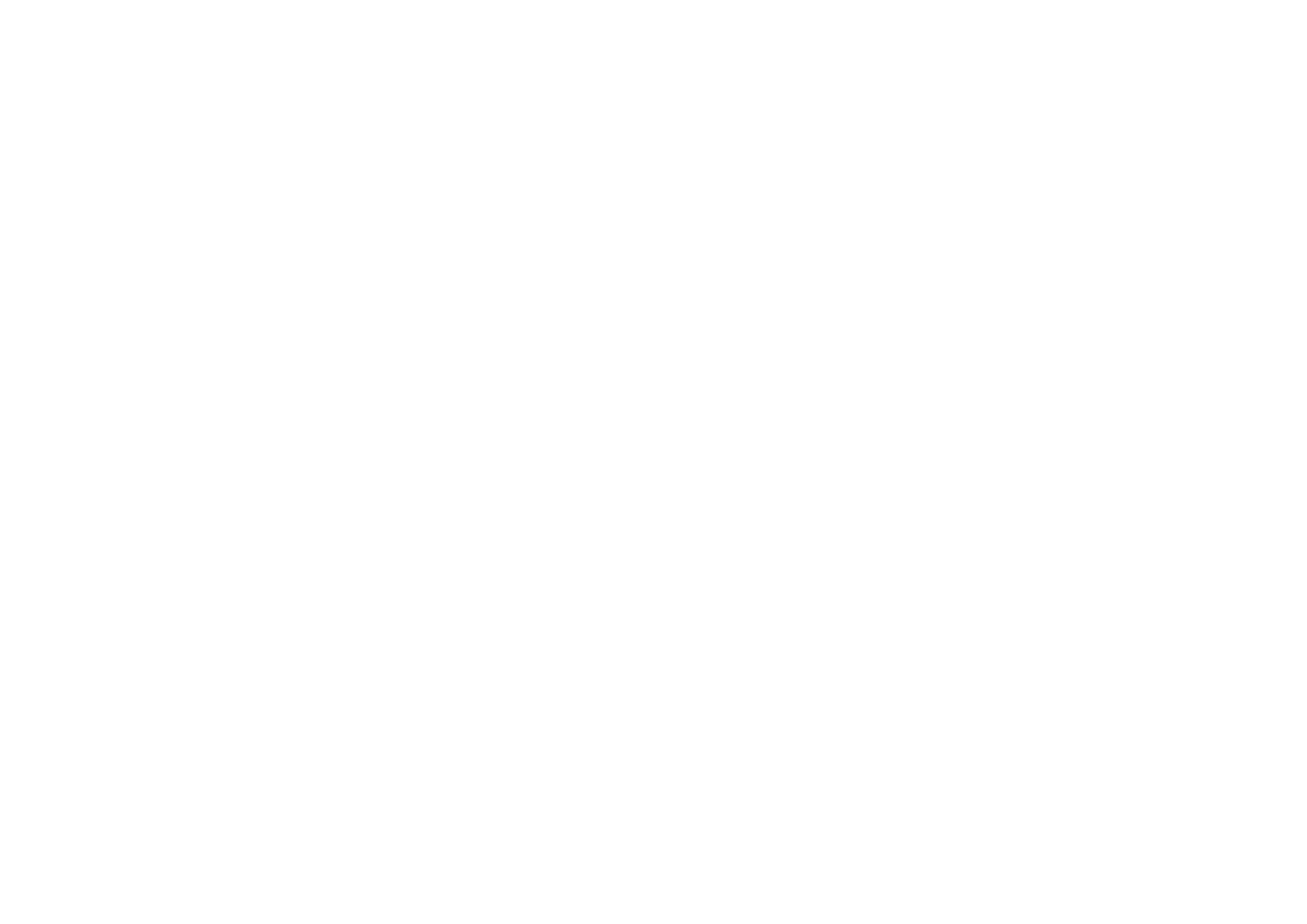## **Item 7.1 - Adoption of the 2020/21 Annual Budget**

| File reference                              | P1028787-6                                                                                                                                    |
|---------------------------------------------|-----------------------------------------------------------------------------------------------------------------------------------------------|
| <b>Report author</b>                        | Michael Kent, Project Director Strategic Finance                                                                                              |
| <b>Other contributors</b>                   | Various                                                                                                                                       |
| <b>Reporting Service Unit and Alliance</b>  | Strategic Finance, Corporate Services                                                                                                         |
| <b>Report author disclosure of interest</b> | Nil                                                                                                                                           |
| Date of report                              | 27 July 2020                                                                                                                                  |
| <b>Nature of Council's role</b>             | Executive                                                                                                                                     |
| <b>Voting requirement</b>                   | <b>Absolute Majority</b>                                                                                                                      |
| Attachment/s                                | Attachment 7.1A - 2020/21 Annual Budget<br>Attachment 7.1B - 2020/21 Management Budget<br>Attachment 7.1C - 2020/21 Fees and Charges Schedule |

## **Purpose**

The purpose of this report is to seek Council endorsement of the City's Annual Budget 2020/21.

## **Background**

Preparation of the annual budget is both a statutory requirement of the *Local Government Act 1995* and a responsible financial management practice. The annual budget is the corporate document that guides the allocation of the financial resources necessary for the City to deliver on our community's aspirations. By guiding our approach to delivering infrastructure and services to the community in a responsible and affordable way, it demonstrates the City's commitment to managing its operations in a sustainable manner.

This budget is developed in a time when our state is emerging from the COVID-19 pandemic. The anticipated financial impacts of that event have been responsibly incorporated into the budget model. The COVID-19 pandemic has adversely impacted the City's revenue streams. Reduced revenues from parking operations, provision of financial relief for property rentals, waiving of certain fees and charges, the 2020/21 rates freeze, zero percent increase to fees and significant reduction in investment revenues have created a challenging financial environment.

The City's response to these challenges is reflected in the 2020/21 Budget funding model.

The budget document (Attachment 7.1A) includes the statutory budget format with all relevant disclosures to discharge financial accountability to the community and the management budget (Attachment 7.1B). It is accompanied by the 2020/21 Schedule of Fees and Charges (Attachment 7.1C).

The City of Perth Annual Budget 2020/21 is now presented to Council for formal consideration.

## **Details**

Persuasively influenced by the Strategic Community Plan, Corporate Business Plan and Long Term Financial Plan, the 2020/21 Budget continues the focus on making the City more financially sustainable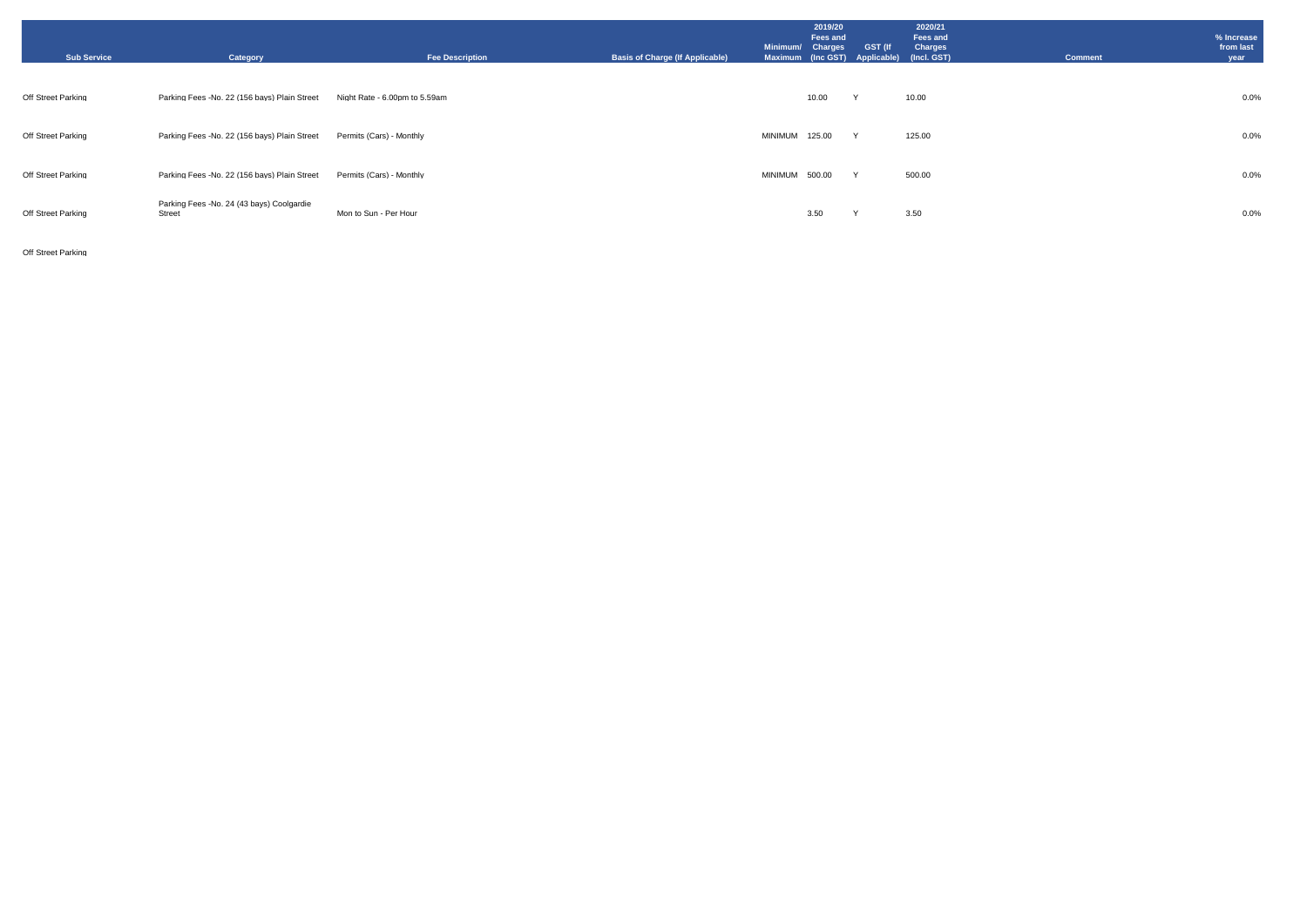into the future and driving structural reform of the City's finances. Operating expenses have been brought back to sustainable levels and expenditure focus has shifted from discretionary projects back to core service. There is also increased commitment to asset stewardship responsibilities by prioritising asset renewal and new and upgraded community infrastructure.

| <b>Funding Required:</b>                            | Amount \$ M |
|-----------------------------------------------------|-------------|
| Core Service Delivery - Excluding Non-Cash Expenses | 137.39      |
| <b>Discretionary Operating Projects</b>             | 4.79        |
| Covid 19 Economic Rebound Projects                  | 20.11       |
| <b>Sub Total - Operating Expenses</b>               | 162.29      |
| <b>Asset Renewal</b>                                | 22.34       |
| <b>Major Capital Projects</b>                       | 27.01       |
| <b>Discretionary Capital Expenditure</b>            | 14.29       |
| <b>Sub Total - Capital Expenses</b>                 | 63.64       |
| Loan Principal Repayments                           | 4.68        |
| <b>Reserve Funds Created</b>                        | 64.36       |
| <b>Closing Position (Surplus)</b>                   | 10.34       |
| <b>Sub Total - Financing Activities</b>             | 79.38       |
| <b>Total Funding Required</b>                       | 305.31      |
|                                                     |             |
| <b>Funding Sources:</b>                             |             |
| <b>Parking Revenues</b>                             | 55.78       |
| Fees and Charges                                    | 19.29       |
| <b>Grants Funds - Operating</b>                     | 1.58        |
| <b>Grants Funds - Asset Acquisition</b>             | 5.44        |
| <b>Other Revenues</b>                               | 4.88        |
| <b>Sub Total - Operating Activities</b>             | 86.97       |
| New Loan Proceeds                                   | 10.00       |
| <b>Reserve Funds Used</b>                           | 73.17       |
| <b>Opening Position</b>                             | 36.84       |
| <b>Sub Total - Financing Activities</b>             | 120.01      |
| <b>Total Funding Available - Excluding Rates</b>    | 206.98      |
|                                                     |             |
| <b>Amount Required to be Raised from Rates</b>      | 98.33       |

The budget presents a \$305.3 Million financial blueprint for the City for the 2020/21 year.

Developing the 2020/21 Budget has presented a unique set of challenges including, but not limited to the financial impacts of COVID-19, the zero percent rates increase and the three-yearly revaluation of property gross rental value (GRV)s.

To support the post COVID-19 economic rebound, an allocation of \$20.115M has been made for 2020/21.

The combination of a zero percent increase in overall rates yield and the triennial revaluation of gross rental values (GRV) for each rateable property means that whilst the City will generate the same rates yield in 2020/21 as it did in 2019/20; not all ratepayers will experience a zero change in rates. For some properties, there will actually be reductions, for some, no or little change and for others, increases of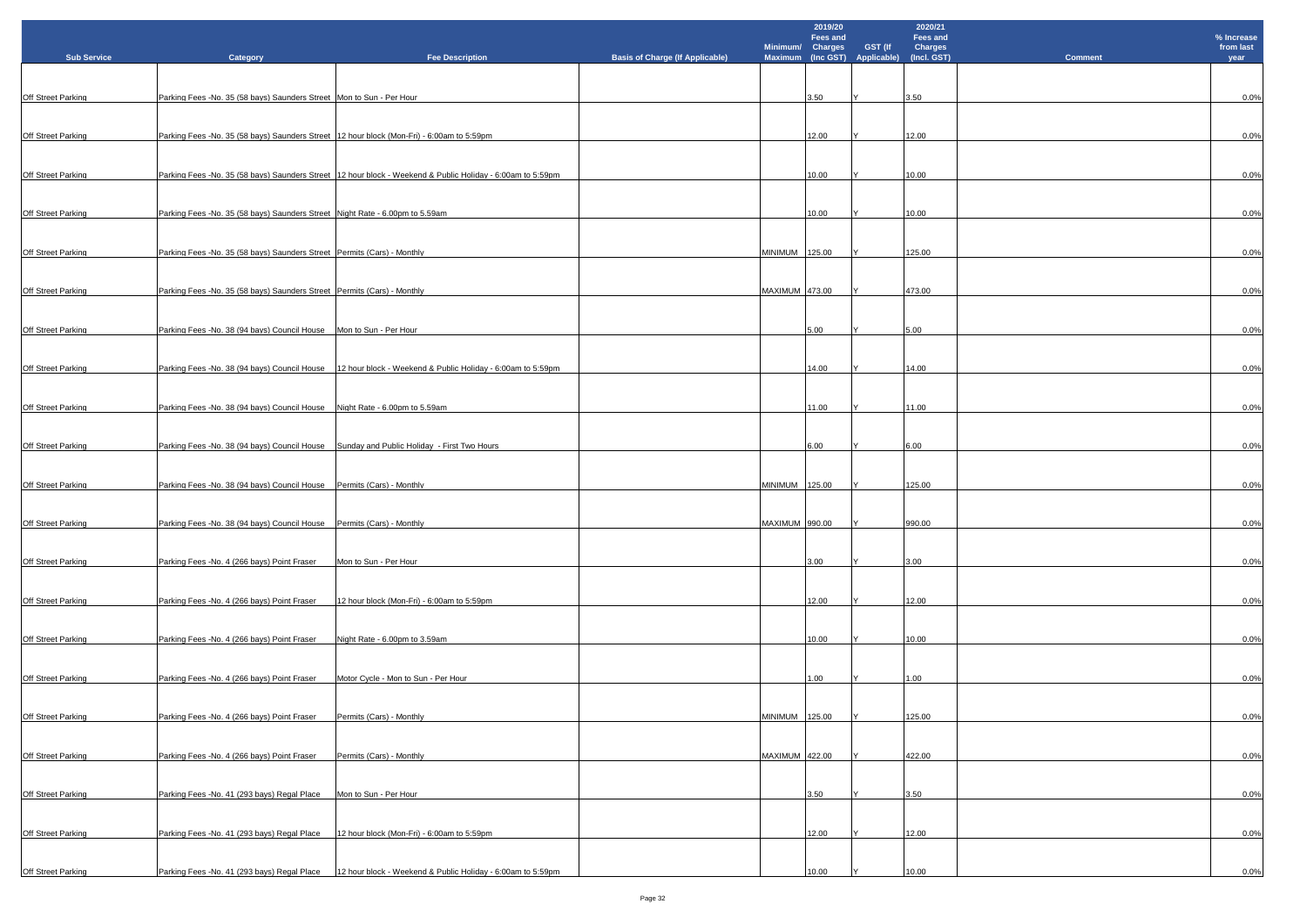differing scales. This is the peculiarity of the GRV based model which is used by all local governments to distribute the relative contributions of individual properties to the total rates yield. These new GRVs will remain in force for three years.

A detailed analysis of the City's Rating model for this year is provided at Section 6.2 of the 2020/21 annual budget document.

The budget model incorporates \$10.0M of new borrowings repayable quarterly over ten years and the draw-down of previously accumulated cash reserves to lessen the reliance on rates revenue as a proportion of the total funding package in the 2020/21 year. These are detailed at Section 6.3 and Section 6.4 of the 2020/21 annual budget document.

The budget model acknowledges that other opportunities may arise through extra-ordinary grants from other levels of government or non-government sources. These have not been incorporated into the model due to their current uncertainty, but the budget financial model can readily be adapted to respond to such opportunities should they arise.

The 2020/21 Budget also references the City's budgeted financial ratios against industry benchmarks. Whilst some specific indicators may not be met in the 2020/21 year, the City has in place, through its Long Term Financial Plan, a responsible and realistic plan to ensure that trends and average ratios over the longer term meet or exceed preferred industry benchmarks.

This budget reflects a balanced and sustainable response to the challenging economic climate in which it was developed. It will play an essential role in guiding the organisation as we continue to re-position our capital city's finances for a sustainable future.

## **Stakeholder engagement**

Preparation of the annual budget has been persuasively influenced by the Long Term Financial Plan 2020/21 - 2029/30 adopted by Council on 30 June 2020. It is informed by the outputs of various community consultation exercises including, but not limited to, the Community Strategic Plan, Corporate Business Plan and Economic Rebound Strategy. It also incorporates inputs from the Workforce Plan, Asset Management Plans and other internally focused strategies and plans.

Following approval by Council at the 30 June 2020 Council meeting, the City advertised the 2020/21 proposed differential rates and the purpose and objects of those differential rates.

One submission was received but it did not pertain to the proposed differential rates.

It is through the preceding mechanisms that stakeholder input has been captured, considered and where appropriate, incorporated into the budget model.

## **Strategic alignment**

#### Strategic Community Plan

This item addresses the community's vision for the future and specifically the following aspiration and Strategic Objective(s) contained in the Strategic Community Plan 2019 - 2029:

**Aspiration:** Performance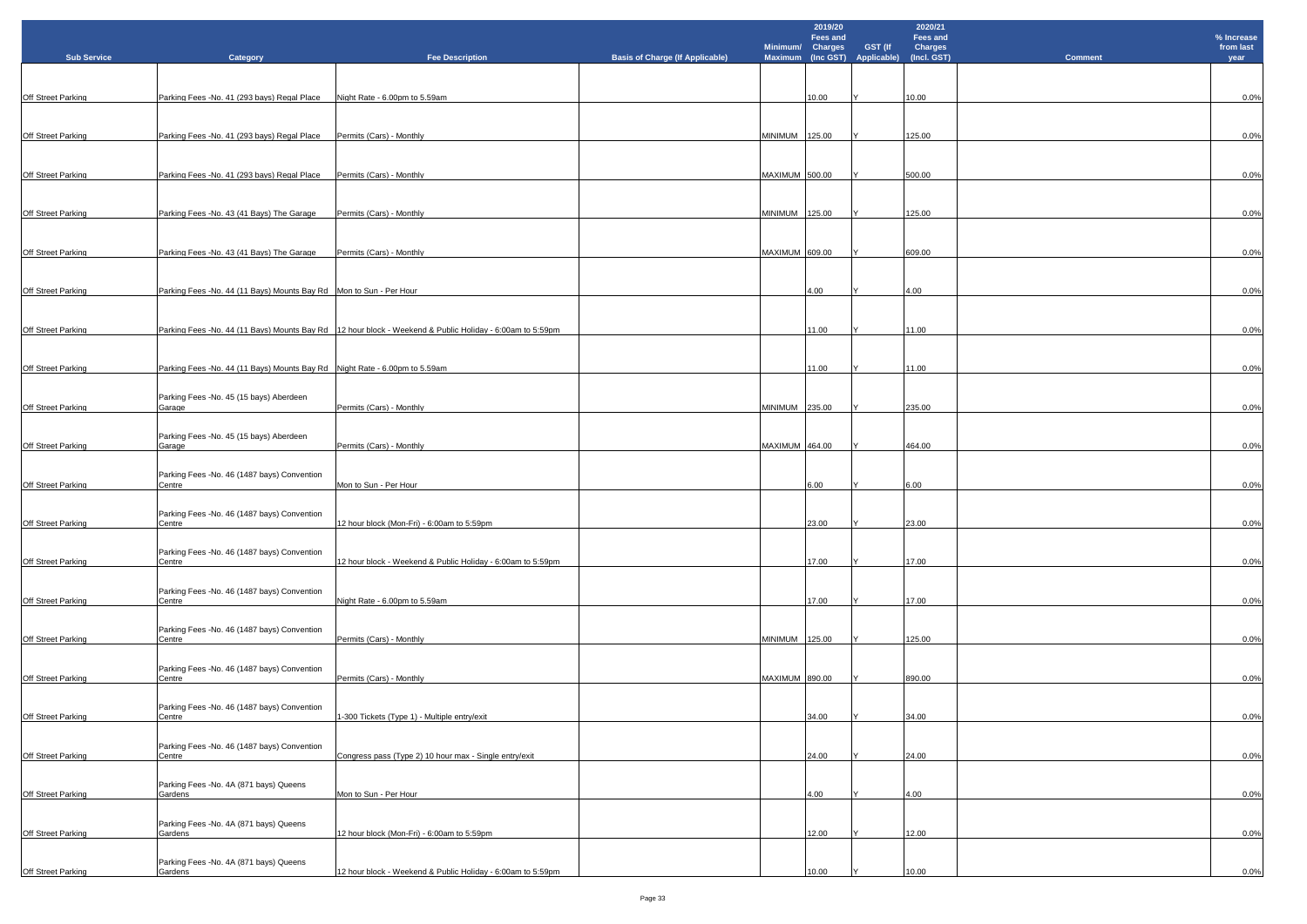| <b>Strategic</b>  | 5.5 A financial business model underpinned by a culture of cost management,                                          |  |  |
|-------------------|----------------------------------------------------------------------------------------------------------------------|--|--|
| <b>Objective:</b> | best value and strategic financial analysis that is subject to ongoing<br>oversight, transparency and accountability |  |  |

## **Legal and statutory implications**

The 2020/21 Annual Budget has been developed in accordance with the provisions of Part 6 of the *Local Government Act 1995,* Part 3 of the *Local Government (Financial Management) Regulations 1996* and also takes into consideration, additional statutory obligations imposed by the *Local Government (COVID-19 Response) Ministerial Order 2020*.

The *Local Government (COVID-19 Response) Ministerial Order 2020* specifically modifies the statutory obligations under the *Local Government Act 1995 and Local Government (Financial Management) Regulations 1996* to require consideration of the financial impacts of COVID-19 on the City's strategic priorities, plans for the future and revenue streams in formulating the budget. The City has been proactively scenario modelling and modifying its financial models for COVID-19 impacts since March 2020 and has incorporated all known and anticipated impacts into its Long Term Financial Plan and Corporate Business Plan that were adopted by Council on 30 June 2020.

As the 2020/21 Budget is persuasively influenced by those documents, the City can confidently attest that it has fully complied with those requirements.

The City will also have a Financial Hardship Policy in place by the first due date for rates instalments as required by the *Local Government (COVID-19 Response) Ministerial Order 2020.*

#### Connection with mandates in the *City of Perth Act 2016*

8(1)(a) - to provide for the good government of persons in the City of Perth, including residents, ratepayers and visitors

## **Risk implications**

| <b>Impact of decision</b> |     |  |
|---------------------------|-----|--|
| Organisation              | Low |  |
| Community                 | Low |  |

| <b>Risk domain</b> | Consequence | Likelihood | <b>Risk rating</b> |
|--------------------|-------------|------------|--------------------|
| Financial          | Moderate    | Unlikely   | ∟ow                |
| Legal & Regulatory | Minor       | Unlikely   | ∟ow                |

A carefully considered, well informed budget aligned to the City's Community Strategic Plan, Corporate Business Plan and Long Term Financial Plan is the most effective way to manage risk associated with financial sustainability and cashflow management. Timely and accountable management reporting and regular monitoring of actual financial performance against budget will provide continued assurance moving forward.

## **Approval implications**

This report seeks Council approval to adopt the 2020/21 Budget including all statutory disclosures and the 2020/21 Schedule of Fees & Charges. The City is required to adopt its Annual Budget in the required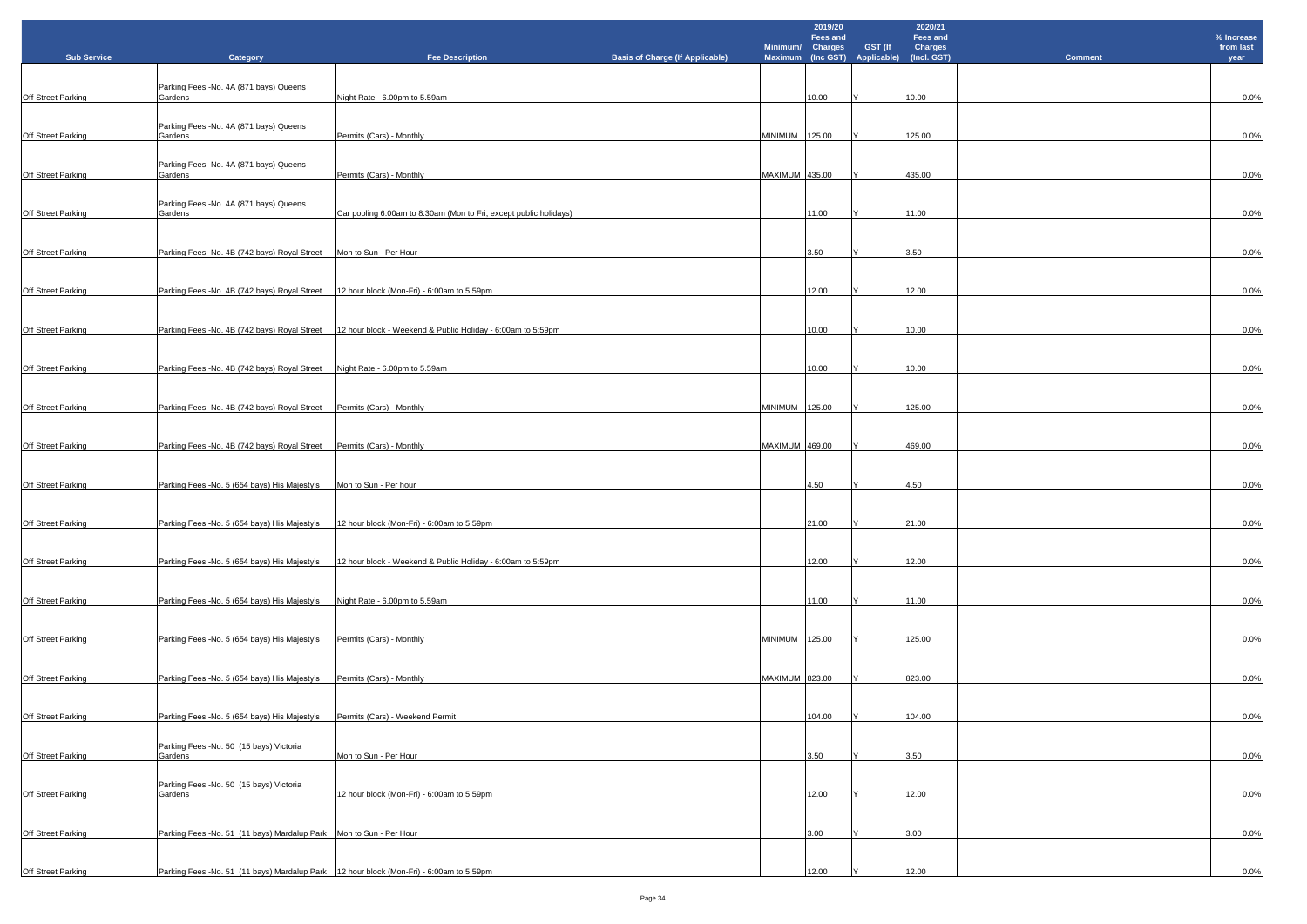format by no later than 31 August each year.

## **Financial implications**

The financial implications associated with this report are detailed in the attached 2020/21 Annual Budget and Schedule of Fees & Charges. Overall, it represents a \$202.2M commitment to the delivery of a range of ongoing programs and services plus a \$63.64M capital expenditure program. This financial commitment is funded by a responsible mix of earned revenues, loan borrowings and cash reserves supported by rates revenue of \$98.33M to produce a balanced budget.

## **Policy references**

Policy 9.1 Budget and 9.2 Heritage Rates Concessions are relevant to this report.

## **Comments**

Nil

|    | <b>Officer Recommendation</b> |                                                                                                   |                                                                                                 |  |
|----|-------------------------------|---------------------------------------------------------------------------------------------------|-------------------------------------------------------------------------------------------------|--|
|    |                               |                                                                                                   |                                                                                                 |  |
|    |                               | That Council ADOPTS BY ABSOLUTE MAJORITY:                                                         |                                                                                                 |  |
|    |                               |                                                                                                   |                                                                                                 |  |
| 1. |                               | The City of Perth 2020/21 Statutory Annual Budget as detailed in Agenda Attachment 7.1A inclusive |                                                                                                 |  |
|    |                               | of the following:                                                                                 |                                                                                                 |  |
|    | 1.1                           | Statement of Comprehensive Income                                                                 |                                                                                                 |  |
|    | 1.2                           | <b>Statement of Cash Flows</b>                                                                    |                                                                                                 |  |
|    | 1.3                           | <b>Rate Setting Statement</b>                                                                     |                                                                                                 |  |
|    | 1.4                           | Capital Expenditure Program                                                                       |                                                                                                 |  |
|    | 1.5                           | Transfers to and from Cash Backed Reserves                                                        |                                                                                                 |  |
|    | 1.6                           | Notes to and forming part of the Statutory Budget                                                 |                                                                                                 |  |
| 2. |                               |                                                                                                   | The following rates in the dollar of GRV based upon the predominant purpose for which the rated |  |
|    |                               | land is held:                                                                                     |                                                                                                 |  |
|    | 1.1                           | <b>Commercial Category</b>                                                                        | 6.47853 cents in the dollar                                                                     |  |
|    | 1.2                           | <b>Hotel Category</b>                                                                             | 6.41214 cents in the dollar                                                                     |  |
|    | 1.3                           | Retail Category                                                                                   | 6.47925 cents in the dollar                                                                     |  |
|    | 1.4                           | <b>Office Category</b>                                                                            | 5.45000 cents in the dollar                                                                     |  |
|    | 1.5                           | Residential                                                                                       | 6.45000 cents in the dollar                                                                     |  |
|    | 1.6                           | Vacant Land                                                                                       | 7.39961 cents in the dollar                                                                     |  |
| 3. |                               | Minimum Rate Payment                                                                              |                                                                                                 |  |
|    |                               |                                                                                                   | The following minimum rate payments to be imposed in accordance with Section 6.35 of the        |  |
|    |                               |                                                                                                   | Local Government Act 1995 in respect of any rateable land within the city:                      |  |
|    | 3.1                           | <b>Commercial Category</b>                                                                        | \$800                                                                                           |  |
|    | 3.2                           | <b>Hotel Category</b>                                                                             | \$750                                                                                           |  |
|    | 3.3                           | Retail                                                                                            | \$750                                                                                           |  |
|    | 3.4                           | <b>Office Category</b>                                                                            | \$800                                                                                           |  |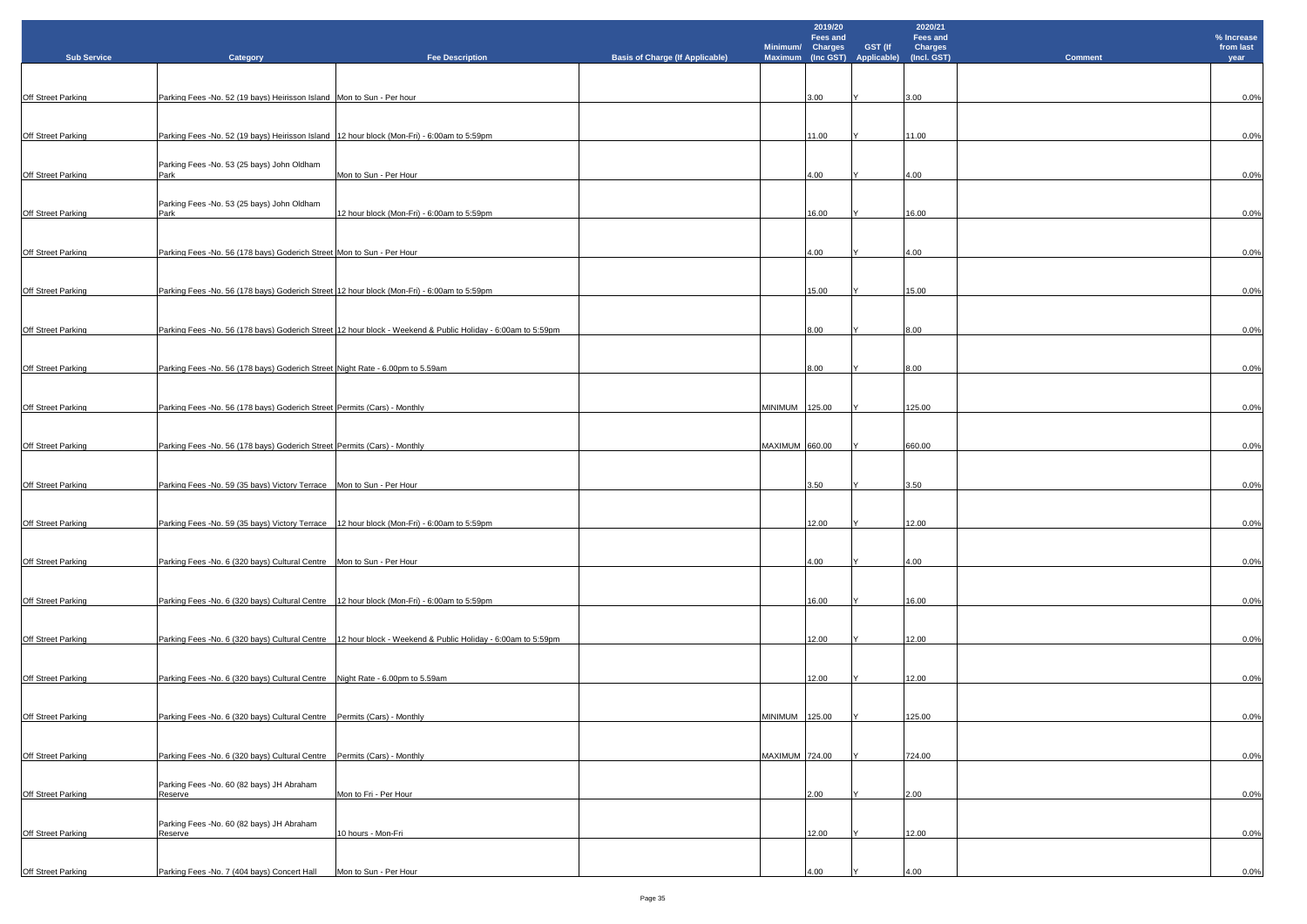3.5 Residential \$750 3.6 Vacant Land \$800

### 4. Instalment Payments

The provision of the options of one, two or four instalments for the payment of rates.

- 4.1 The City will impose, in accordance with section 6.45(3) of the *Local Government Act 1995* and clause 13 of the Local Government (COVID-19 Response) Ministerial Order 2020, gazetted on 8 May 2020, an additional charge of \$35 and interest rate of 5.5% applicable to rate and service charge instalment arrangements, subject to:
- 4.2 this additional charge and interest rate cannot be applied to an excluded person, as defined in the Local Government (COVID-19 Response) Ministerial Order 2020, that has been determined as suffering financial hardship as a direct consequence of the COVID-19 pandemic in accordance with Council's Financial Hardship Policy.

The following due dates for the payment of rates by instalments:

4.2.1 28 September 2020 4.2.2 27 November 2020 4.2.3 05 February 2021 4.2.4 09 April 2021

- 5. Late Payment Interest
	- 5.1 The City will impose, in accordance with section 6.51(1) of the *Local Government Act 1995* and clause 14 of the Local Government (COVID-19 Response) Ministerial Order 2020, gazetted on 8 May 2020, an interest rate of 5.5% applicable to overdue and unpaid rate and service charges, subject to:
	- 5.2 this interest rate cannot be applied to an excluded person, as defined in the Local Government (COVID-19 Response) Ministerial Order 2020, that has been determined by the City of Perth as suffering financial hardship as a direct consequence of the COVID-19 pandemic.
	- 5.3 The City will recoup the cost of recovery of such rates and service charges that remain unpaid after becoming due and payable.
- 6. Heritage Rates Concession
	- 6.1 In accordance with *Section 6.47 of the Local Government Act 1995,* the City will continue the Heritage Rate Concession Scheme (Council Policy 9.2 refers), introduced to support the retention of the City's heritage, for the 2020/21 financial year.
- 7. Creation of Reserve Fund

The creation of the following Cash Backed Reserve (purpose of Reserve as stated below) in accordance with *Section 6.11(1) of the Local Government Act 1995:*

- 7.1 COVID-19 Economic Rebound Reserve This reserve is established to quarantine funding for the initiatives associated with the City's COVID-19 Economic Rebound Strategy.
- 8. New Loan Approvals

The proposal to borrow \$10.0M repayable quarterly over ten years at fixed interest rates from WA Treasury Corporation to support the capital program and COVID-19 Economic Rebound Strategy.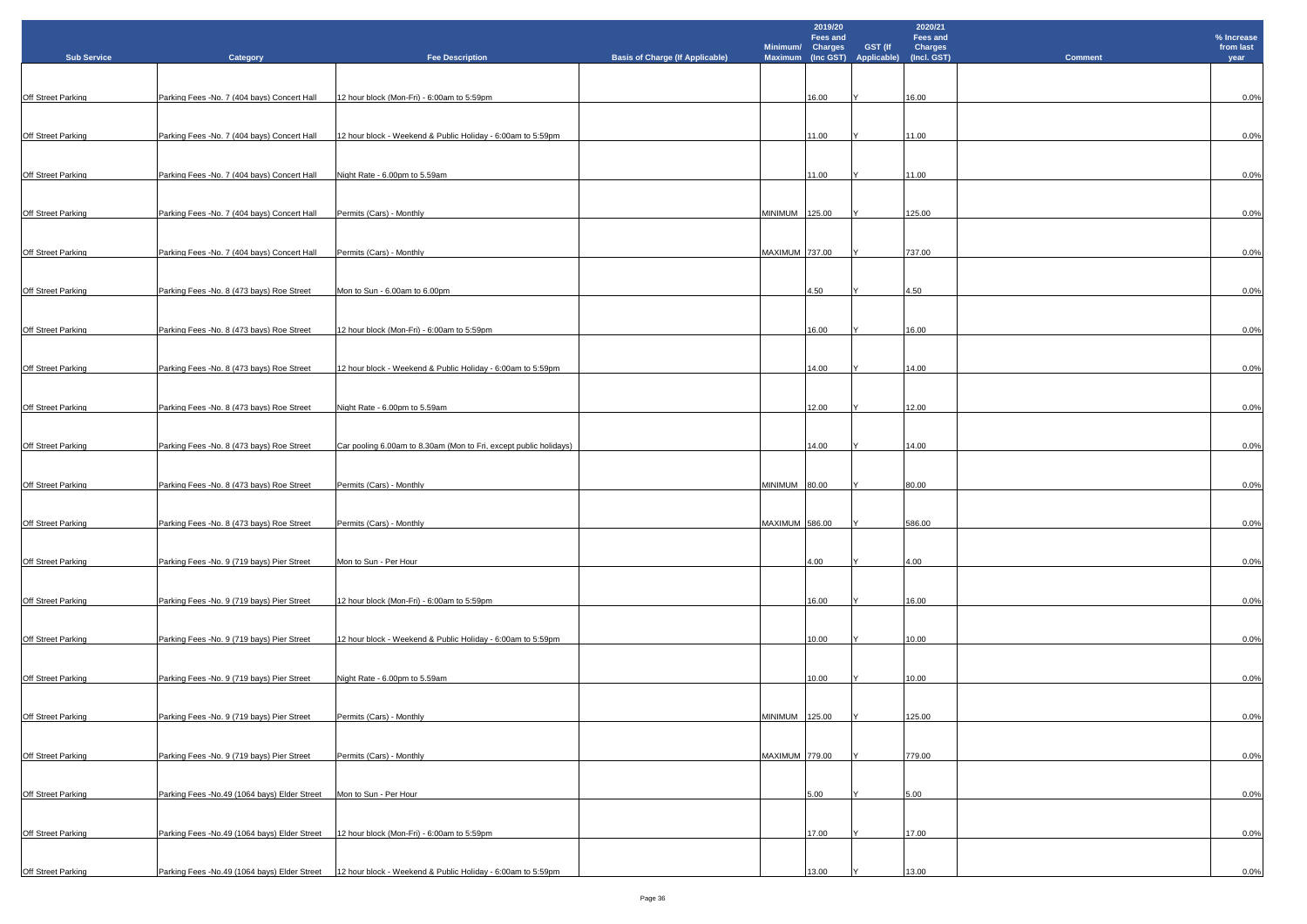#### 9. Reserve Fund Transfers

The proposed transfers to and from Reserves identified in the 2020/21 Annual Budget, including the change of purpose of Reserves made in accordance with Section 6.11 (3) 9.1 of the *Local Government Act 1995*.

#### 10. Fees and Charges

The 2020/21 Schedule of Fees & Charges as detailed in Agenda Attachment 7.1C (including waste collection service charges).

#### 11. Financial Reporting and Materiality

As per *Local Government (Financial Management) Regulations 1996* Section 34 (5) each financial year, a local government is to adopt a percentage or value, calculated in accordance with the AAS (Australian Accounting Standards), to be used in statements of financial activity for reporting material variances.

For the purpose of materiality, in monthly financial reports for the 2020/21 financial year, operating variances shall be those greater than 10% of the original adopted Annual Budget and a value greater than \$20,000.

For the purpose of materiality, in monthly financial reports for the 2020/21 financial year, capital variances shall be those greater than 10% of the original adopted Annual Budget or a value greater than \$50,000.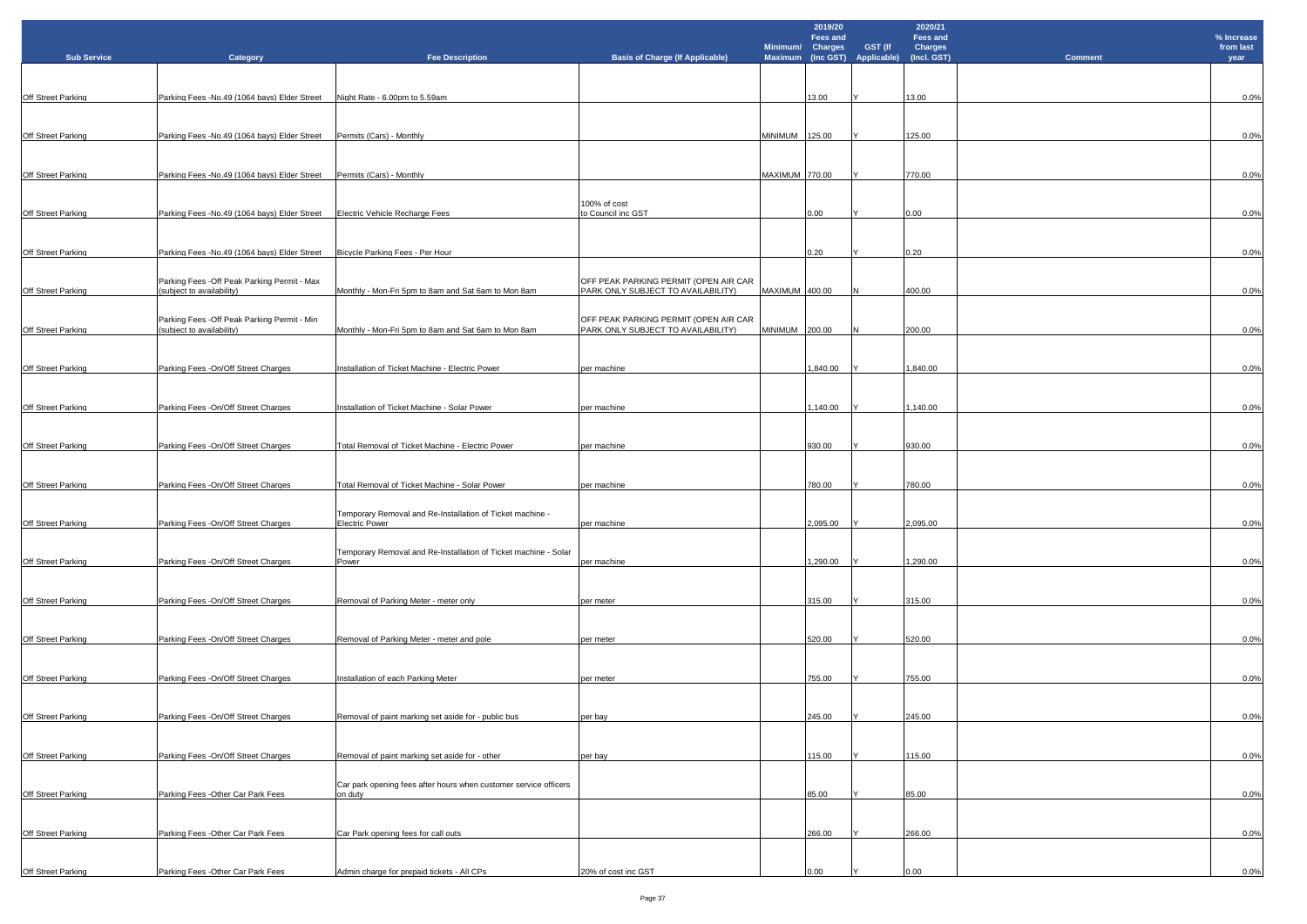## **Item 7.2 – Tender RFT000016 – Koolangka Koolangka Playground Construction – Wellington Square**

| File reference                              | P1039125                                                                                                                                                                                                                                                                       |
|---------------------------------------------|--------------------------------------------------------------------------------------------------------------------------------------------------------------------------------------------------------------------------------------------------------------------------------|
| <b>Report author</b>                        | Richard Jeffcote, Project Delivery Lead                                                                                                                                                                                                                                        |
| <b>Other contributors</b>                   | Gaynor Boros, Category Specialist                                                                                                                                                                                                                                              |
| <b>Reporting Service Unit and Alliance</b>  | Construction, Infrastructure and Operations                                                                                                                                                                                                                                    |
| <b>Report author disclosure of interest</b> | Nil                                                                                                                                                                                                                                                                            |
| Date of report                              | 6 July 2020                                                                                                                                                                                                                                                                    |
| <b>Nature of Council's role</b>             | Executive                                                                                                                                                                                                                                                                      |
| <b>Voting requirement</b>                   | Simple Majority                                                                                                                                                                                                                                                                |
| Attachment/s                                | Attachment 7.2A – Confidential Tender Assessment Matrix<br>Attachment 7.2B – Confidential Qualitative Criteria against Price<br>Attachment 7.2C - Confidential Value Engineering Analysis<br>Confidential attachments are distributed to Commissioners<br>under separate cover |

## **Purpose**

This report presents the outcome of Tender RFT000016 - Koolangka Koolangka Playground Construction, Wellington Square and seeks Council approval to award the contract for the playground construction and associated civil works.

## **Background**

At its meeting held on 25 September 2018, Council approved the Final Wellington Square Masterplan; noted that the enhancement will be staged over six years commencing in 2019, and noted that the detailed design and cost estimate of various enhancement packages will be presented to Council in line with the staging plan.

Since then, the project has progressed well, with the main contract package that included landscape, civil, lighting and electrical works awarded in November 2019. The artwork tender was awarded in March 2020.

This report seeks Council approval for the award of the final major package, to deliver the playground component, in line with an accelerated timeline, to have the main contractor works and playground completed in the 2020/21 financial year and the artwork completed by May 2022.

The project has been successful in receiving funding from Lotterywest in the amount of \$4.37M for the playground construction (Attachment 7.2A). The project team have endeavoured to manage expenditure against the original project budget as external funding is included in the Long Term Financial Plan as a City budget, not additional project budget.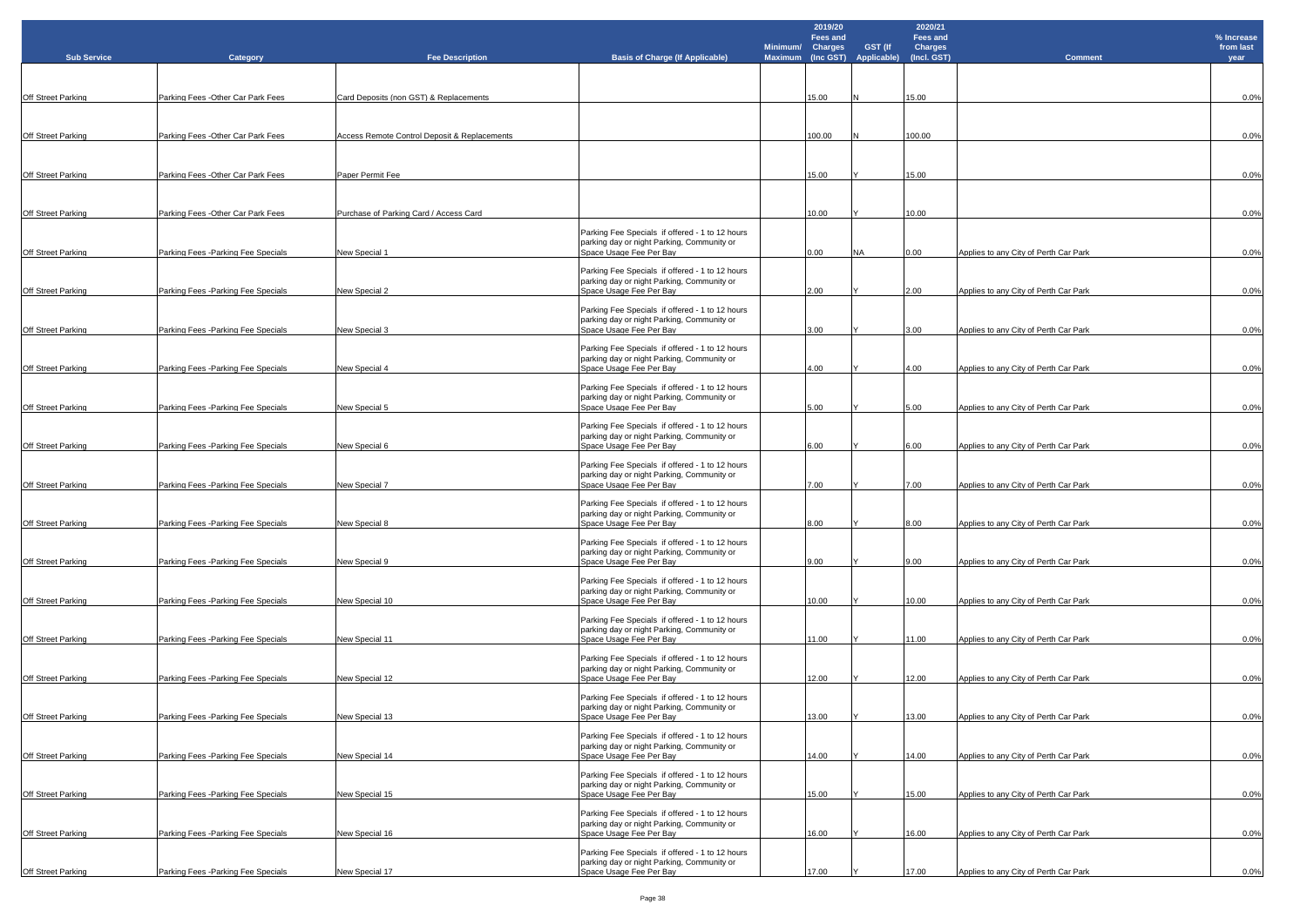## **Details**

The Tender was advertised on 8 April 2020 and closed on 14 May 2020, with submissions received from the following tenderers:

- 1. BOS Civil Pty Ltd
- 2. D.B Cunningham Pty Ltd t/as Advanteering Civil Engineers
- 3. Densford Civil Pty Ltd / Djana Koodal Pty Ltd (Joint Venture)
- 4. Environmental Industries Pty Ltd
- 5. Menchetti Consolidated Pty Ltd t/as MG Group WA
- 6. Phase 3 Landscape Construction Pty Ltd
- 7. Visual Design Metal Fabrication Pty Ltd

## *Overview of proposed works*

The Koolangka Koolangka playground will be situated in the south-east corner of Wellington Square, near the corner of Wellington and Bennett Streets, providing a range of facilities including a skatepark, parkour activities, a pump track, waterplay, climbing towers, terracing and rest areas. The scope of works includes demolition, irrigation works, landscape works, hardscape and soft landscape works, multiple catenary structures, custom playground structures, water play works, signage works, electrical and lighting works.

## *Compliance Criteria*

A compliance assessment was completed on all tenderers with all submission, bar one, deemed as conforming tenders. The tender received from Visual Design Metal Fabrication Pty Ltd, failed to include the required documentation, including the Tenderer's Offer, and was deemed a non-compliant tender. It was not considered for further evaluation.

## *Qualitative Selection Criteria*

The submitted tenders were evaluated against the following four qualitative selection criteria:

- Construction Methodology (25%);
- Demonstrated Project Experience (40%);
- Experience and Qualifications of Key Personnel (20%); and
- Program of Works (15%).

**BOS Civil** provided an adequate response with a sound appreciation and understanding of the scope of work required and outlined a detailed methodology to deliver the project. They provided some examples that included bespoke elements, however most projects listed are civil and paving jobs and not similar in scope or complexity to this playground project. The key team have reasonable experience behind them but seems to be quite a young team with 5-20 years' experience. The construction program indicated a completion date within the City's required timeframe.

**D.B Cunningham Pty Ltd (Advanteering)** provided a sound appreciation and understanding of the scope and listed control measures for potential constraints and outlined a detailed methodology. They provided project examples with photos and nature playground elements, similar in scope and scale and have demonstrated local government experience. The project team experienced in delivery of large projects and have nominated key sub-contractors and have allowed a level of contingency in resourcing the works. The construction program indicated a completion date within the City's required timeframe.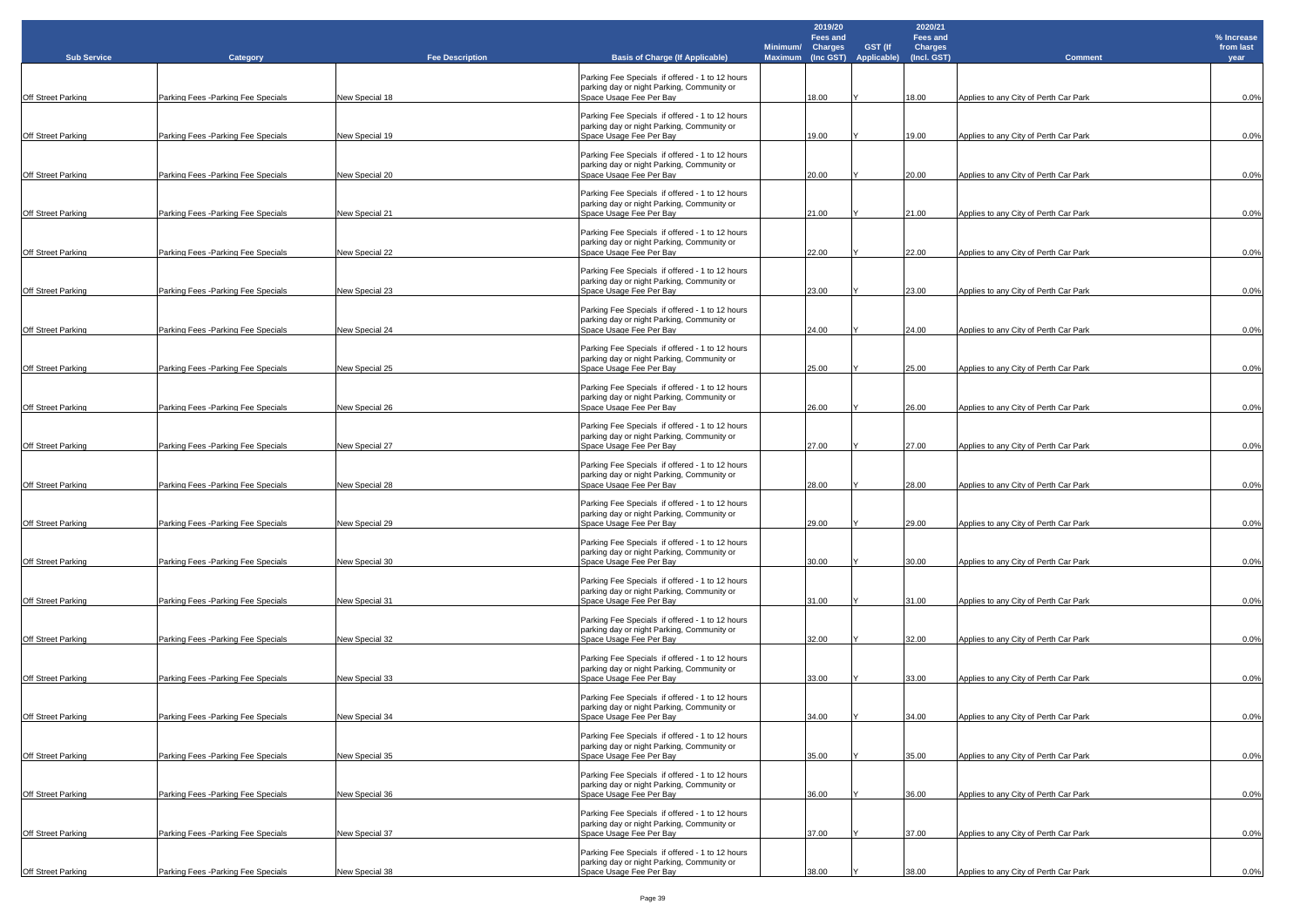**Densford** briefly outlined methodology and steps/staging required and provided a very good response to appreciation and understanding of aboriginal and heritage management including Whadjuk Noongar significance. Demonstrated project experience is adequate, however are less convincing they can deliver regional scale playgrounds as their main experience lies in civil works with projects on a smaller scale. They are the main contractor for the Wellington Square Enhancement project so have the advantage of site familiarity, qualified project team and subconsultant engagement, which provides confidence their program of works could meet the timeframe.

**Environmental Industries** provided a sound methodology and demonstrated a good understanding of project constraints. Have demonstrated project experience in successful delivery of playgrounds of a similar scale and nature. The project team are experienced in the delivery of high-quality projects. Program for main playground works can be completed within required timeframe, however there is a delay of two months for delivery of the catenary structure.

**MG Group** provided a very thorough and convincing response to all selection criteria, demonstrating an excellent understanding and appreciation of the scope of works and very clearly outlined a descriptive stepby-step methodology. Has demonstrated substantial experience in the delivery of regional scale playgrounds consisting of highly bespoke elements finished to a high level of detail. The project team are highly qualified and demonstrated experienced in working on similar projects and provided a detailed list of subcontractors. They provided a detailed programme including key dates and milestones to meet the required timeframe, however it was noted that meeting the deadline depended on the lead time for certain items.

**Phase3** provided a marginal response to appreciation and understanding of the scope of works and outlined a brief methodology. They demonstrated extensive experience in the delivery of regional destination playgrounds throughout WA with highly bespoke elements and provided details for completed projects of a similar scope and nature. The project team are qualified and demonstrated experienced in working on similar projects. Their program of works is not able to meet the required timeframe indicating completion date in April 2021.

The Tender Assessment Matrix and the Qualitative Criteria against Price summary is presented in Confidential Attachments 7.2A and 7.2B. The City also underwent a value engineering exercise to determine the final contract award amount (Confidential Attachment 7.2C).

## **Stakeholder engagement**

The Wellington Square Masterplan was endorsed by Council on 25 September 2018 and involved significant input from the community and stakeholders. This engagement resulted in a vision for Wellington Square that recognised the history of the site, balanced the competing needs of a diverse range of stakeholders and created a vision for Wellington Square that befits the largest public open space within the City of Perth. One key feature of the Masterplan includes an Intergenerational Play Space.

## **Strategic alignment**

## Strategic Community Plan

This item addresses the community's vision for the future and specifically the following Aspiration and Strategic Objective(s) contained in the Strategic Community Plan 2019 – 2029: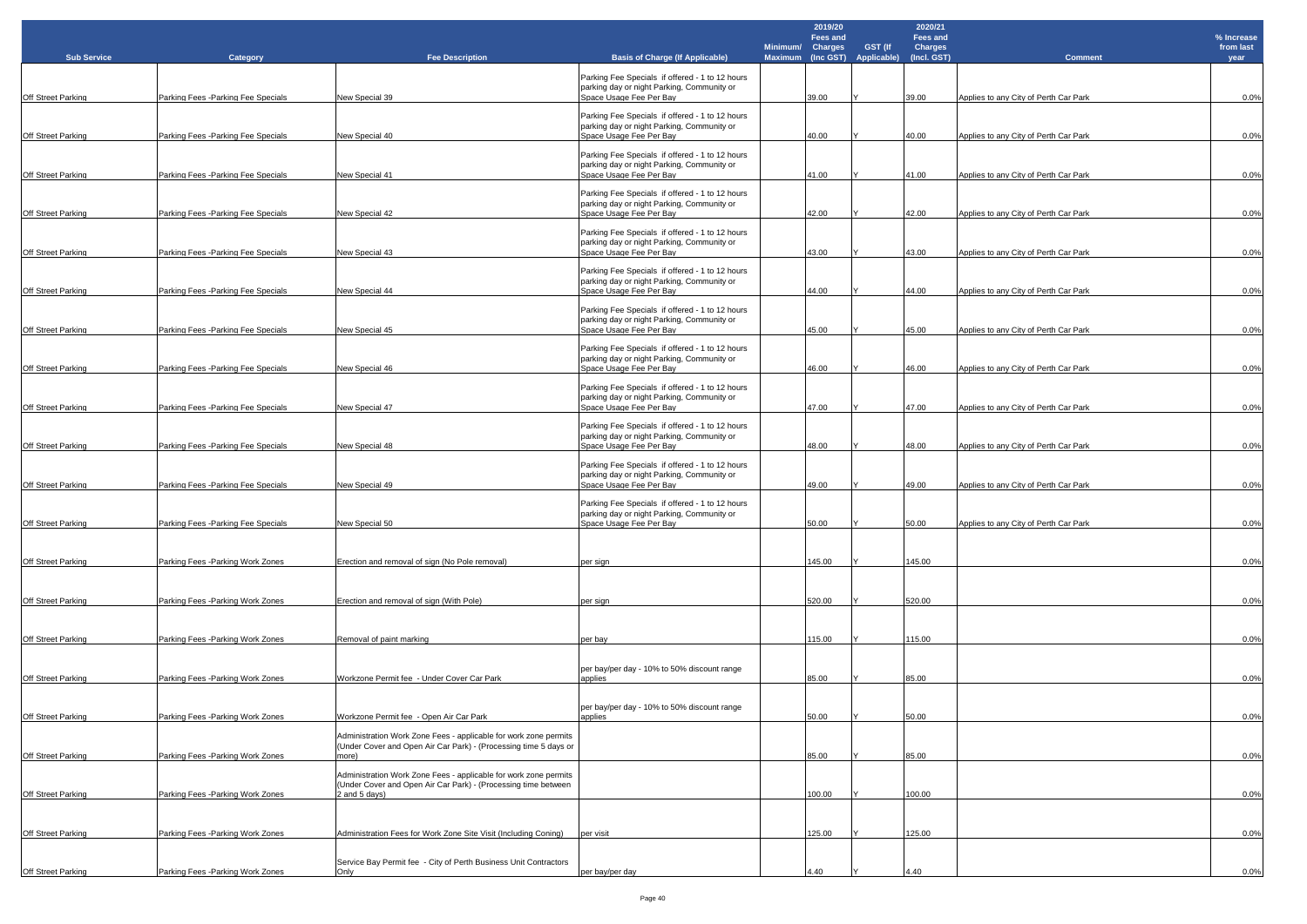| <b>Aspiration:</b>          | Place                                                               |  |
|-----------------------------|---------------------------------------------------------------------|--|
| <b>Strategic Objective:</b> | 2.1 A city that is seen by all as a great place to be.              |  |
|                             | Safe and enjoyable experiences in the public realm enabled by smart |  |
|                             | technologies, innovative design and quality infrastructure          |  |

The delivery of the playground is a key outcome of the Wellington Square Masterplan and will provide the local community with outstanding local facilities.

## **Legal and statutory implications**

Section 3.57 of the Local Government Act 1995 covers the legal requirements for local governments to invite public tenders before it enters into a contract of this nature.

More specifically, Division 2 of the *Local Government (Functions and General) Regulations 1996* covers the detail and subject matter of the tender requirements.

#### Connection with mandates in the *City of Perth Act 2016*

 $8(1)(c)$  - to provide a safe, clean and aesthetic environment for the community, city workers, visitors and tourists

## **Risk implications**

| <b>Impact of decision</b> |     |  |
|---------------------------|-----|--|
| Organisation              | Low |  |
| Community<br>Low          |     |  |

| <b>Risk domain</b>             | Consequence | Likelihood | <b>Risk rating</b> |
|--------------------------------|-------------|------------|--------------------|
| <b>Reputation and External</b> | Moderate    | Possible   | Medium             |
| <b>Stakeholders</b>            |             |            |                    |

The key risk relating to the delivery of the project are potential for the delays to the playground's completion (end of 2020) due to the supply of bespoke items and therefore the extended disruption to the surrounding residents and enjoyment of the facilities.

A Financial Assessment was undertaken on Advanteering which indicated that it has a sound financial capacity to undertake the contract.

## **Approval implications**

If the contract is not awarded the playground will not be delivered and the overall Wellington Square Masterplan Enhancement be left uncompleted.

## **Financial implications**

#### Within existing budget

There are no additional financial implications associated with this report. The recommended tender award